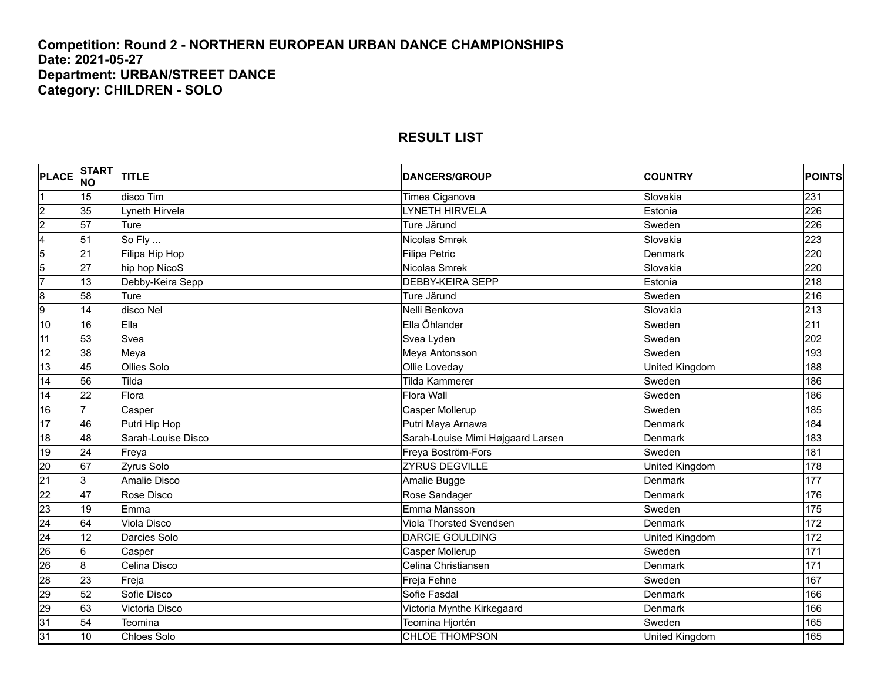#### **Competition: Round 2 - NORTHERN EUROPEAN URBAN DANCE CHAMPIONSHIPS Date: 2021-05-27 Department: URBAN/STREET DANCE Category: CHILDREN - SOLO**

#### **PLACE START NO TITLE DANCERS/GROUP COUNTRY POINTS** 1 15 disco Tim Timea Ciganova Slovakia 231 2 35 Lyneth Hirvela LYNETH HIRVELA Estonia 226 2 57 Ture Sweden 226 Ture Järund Sweden 226 Sweden 226 Järund Sweden 226 Sweden 226 4 51 So Fly ... Nicolas Smrek Slovakia 223 5 21 Filipa Hip Hop Petric Petric Denmark 220 Permark 220 Service Petric Research Andrew Denmark 220 5 27 hip hop NicoS Nicolas Smrek Slovakia 220 7 13 Debby-Keira Sepp DEBBY-KEIRA SEPP Estonia 218 8 58 Ture Superinten and Sweden 216 Sweden 216 Sweden 216 Sweden 216 9 14 disco Nel Nelli Benkova Slovakia 213 10 16 Ella Ella Öhlander Sweden 211 11 53 Svea Svea Lyden Sweden 202 12 |38 |Meya |Meya Antonsson |Sweden |193 13 45 Ollies Solo Ollie Loveday United Kingdom 188 14 56 Tilda Tilda Kammerer Sweden 186 14 22 Flora Flora Wall Sweden 186 16 7 | Casper Casper Casper Mollerup Sweden | Sweden | 185 17 46 Putri Hip Hop **Putri Arraya Arrawa** Putri Maya Arnawa New York Denmark 184 18 48 Sarah-Louise Disco Sarah-Louise Mimi Højgaard Larsen Denmark 183 19 24 Freya Freya Boström-Fors Sweden 181 20 67 Zyrus Solo ZYRUS DEGVILLE United Kingdom 178 21 |3 |Amalie Disco |Amalie Bugge |Denmark |177 22 47 Rose Disco Rose Sandager Denmark 176 23 19 Emma Emma Månsson Sweden 175 24 64 Viola Disco Viola Thorsted Svendsen Denmark 172 24 12 Darcies Solo DARCIE GOULDING United Kingdom 172 26 6 Casper Casper Mollerup Sweden 171 26 8 Celina Disco Celina Christiansen Denmark 171 28 23 Freja Freja Fehne Sweden 167 29 52 Sofie Disco Sofie Fasdal Denmark 166 29 63 | Victoria Disco **Victoria Contra and Australia Mynthe Kirkegaard Denmark** | Denmark | 166 31 |54 |Teomina |Teomina Hjortén |Sweden |165

31 10 Chloes Solo CHLOE THOMPSON United Kingdom 165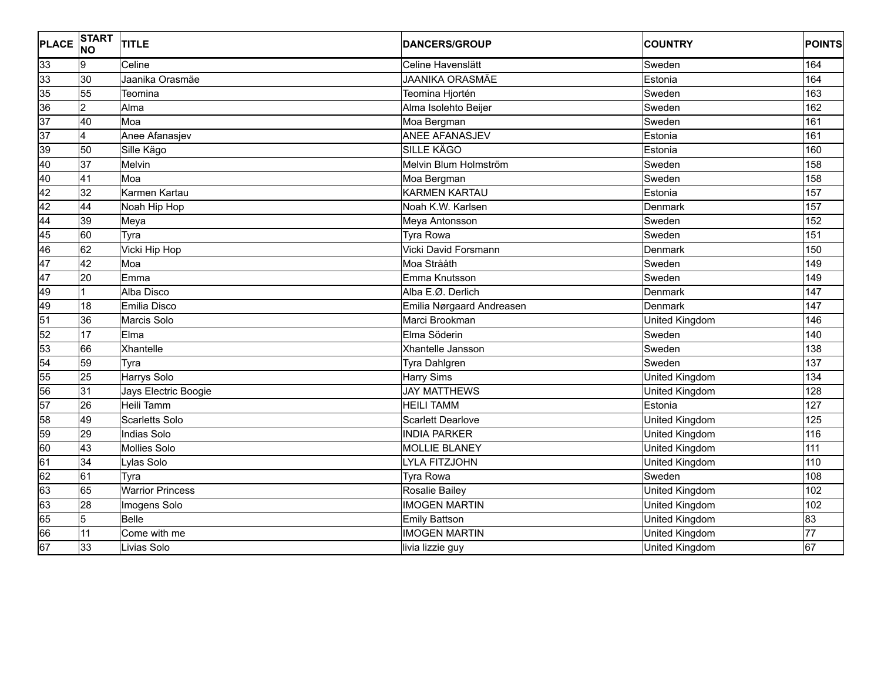| <b>PLACE</b>    | <b>START</b><br><b>NO</b> | <b>TITLE</b>            | <b>DANCERS/GROUP</b>      | <b>COUNTRY</b>        | <b>POINTS</b>  |
|-----------------|---------------------------|-------------------------|---------------------------|-----------------------|----------------|
| 33              | Ι9                        | Celine                  | Celine Havenslätt         | Sweden                | 164            |
| 33              | 30                        | Jaanika Orasmäe         | <b>JAANIKA ORASMÄE</b>    | Estonia               | 164            |
| 35              | 55                        | Teomina                 | Teomina Hjortén           | Sweden                | 163            |
| 36              | $\overline{2}$            | Alma                    | Alma Isolehto Beijer      | Sweden                | 162            |
| $\overline{37}$ | 40                        | Moa                     | Moa Bergman               | Sweden                | 161            |
| 37              | 4                         | Anee Afanasjev          | <b>ANEE AFANASJEV</b>     | Estonia               | 161            |
| 39              | 50                        | Sille Kägo              | <b>SILLE KÄGO</b>         | Estonia               | 160            |
| 40              | 37                        | Melvin                  | Melvin Blum Holmström     | Sweden                | 158            |
| 40              | 41                        | Moa                     | Moa Bergman               | Sweden                | 158            |
| 42              | 32                        | Karmen Kartau           | <b>KARMEN KARTAU</b>      | Estonia               | 157            |
| 42              | 44                        | Noah Hip Hop            | Noah K.W. Karlsen         | Denmark               | 157            |
| 44              | 39                        | Meya                    | Meya Antonsson            | Sweden                | 152            |
| 45              | 60                        | Tyra                    | <b>Tyra Rowa</b>          | Sweden                | 151            |
| 46              | 62                        | Vicki Hip Hop           | Vicki David Forsmann      | Denmark               | 150            |
| 47              | 42                        | Moa                     | Moa Strååth               | Sweden                | 149            |
| 47              | 20                        | Emma                    | Emma Knutsson             | Sweden                | 149            |
| 49              | $\mathbf{1}$              | Alba Disco              | Alba E.Ø. Derlich         | Denmark               | 147            |
| 49              | $\overline{18}$           | Emilia Disco            | Emilia Nørgaard Andreasen | Denmark               | 147            |
| 51              | 36                        | Marcis Solo             | Marci Brookman            | United Kingdom        | 146            |
| 52              | 17                        | Elma                    | Elma Söderin              | Sweden                | 140            |
| 53              | 66                        | Xhantelle               | Xhantelle Jansson         | Sweden                | 138            |
| 54              | 59                        | Tyra                    | Tyra Dahlgren             | Sweden                | 137            |
| 55              | $\overline{25}$           | Harrys Solo             | <b>Harry Sims</b>         | United Kingdom        | 134            |
| 56              | 31                        | Jays Electric Boogie    | <b>JAY MATTHEWS</b>       | United Kingdom        | 128            |
| 57              | 26                        | Heili Tamm              | <b>HEILI TAMM</b>         | Estonia               | 127            |
| 58              | 49                        | <b>Scarletts Solo</b>   | <b>Scarlett Dearlove</b>  | United Kingdom        | 125            |
| 59              | 29                        | <b>Indias Solo</b>      | <b>INDIA PARKER</b>       | United Kingdom        | 116            |
| 60              | 43                        | <b>Mollies Solo</b>     | <b>MOLLIE BLANEY</b>      | United Kingdom        | 111            |
| 61              | 34                        | Lylas Solo              | <b>LYLA FITZJOHN</b>      | United Kingdom        | 110            |
| 62              | 61                        | Tyra                    | <b>Tyra Rowa</b>          | Sweden                | 108            |
| 63              | 65                        | <b>Warrior Princess</b> | Rosalie Bailey            | United Kingdom        | 102            |
| 63              | 28                        | Imogens Solo            | <b>IMOGEN MARTIN</b>      | United Kingdom        | 102            |
| 65              | 5                         | Belle                   | <b>Emily Battson</b>      | United Kingdom        | $\overline{3}$ |
| 66              | 11                        | Come with me            | <b>IMOGEN MARTIN</b>      | United Kingdom        | 77             |
| 67              | 33                        | Livias Solo             | livia lizzie guy          | <b>United Kingdom</b> | 67             |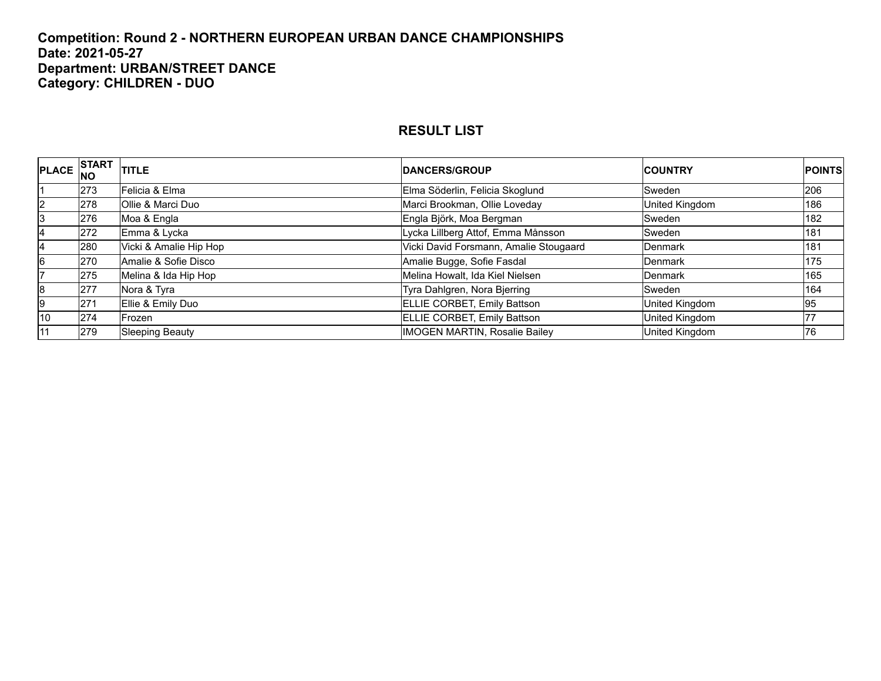#### **Competition: Round 2 - NORTHERN EUROPEAN URBAN DANCE CHAMPIONSHIPS Date: 2021-05-27 Department: URBAN/STREET DANCE Category: CHILDREN - DUO**

|                | PLACE START | <b>TITLE</b>           | <b>DANCERS/GROUP</b>                   | <b>ICOUNTRY</b> | <b>POINTS</b> |
|----------------|-------------|------------------------|----------------------------------------|-----------------|---------------|
|                | 273         | Felicia & Elma         | Elma Söderlin, Felicia Skoglund        | Sweden          | 206           |
| $\overline{2}$ | 278         | Ollie & Marci Duo      | Marci Brookman, Ollie Loveday          | United Kingdom  | 186           |
| 13             | 276         | Moa & Engla            | Engla Björk, Moa Bergman               | Sweden          | 182           |
| 4              | 272         | Emma & Lycka           | Lycka Lillberg Attof, Emma Månsson     | Sweden          | 181           |
| 4              | 280         | Vicki & Amalie Hip Hop | Vicki David Forsmann, Amalie Stougaard | <b>IDenmark</b> | 181           |
| 6              | 270         | Amalie & Sofie Disco   | Amalie Bugge, Sofie Fasdal             | Denmark         | 175           |
|                | 275         | Melina & Ida Hip Hop   | Melina Howalt, Ida Kiel Nielsen        | <b>Denmark</b>  | 165           |
| 8              | 277         | Nora & Tyra            | Tyra Dahlgren, Nora Bjerring           | Sweden          | 164           |
| l9             | 271         | Ellie & Emily Duo      | ELLIE CORBET, Emily Battson            | United Kingdom  | 95            |
| 10             | 274         | Frozen                 | ELLIE CORBET, Emily Battson            | United Kingdom  |               |
| 11             | 279         | <b>Sleeping Beauty</b> | <b>IMOGEN MARTIN, Rosalie Bailey</b>   | United Kingdom  | 76            |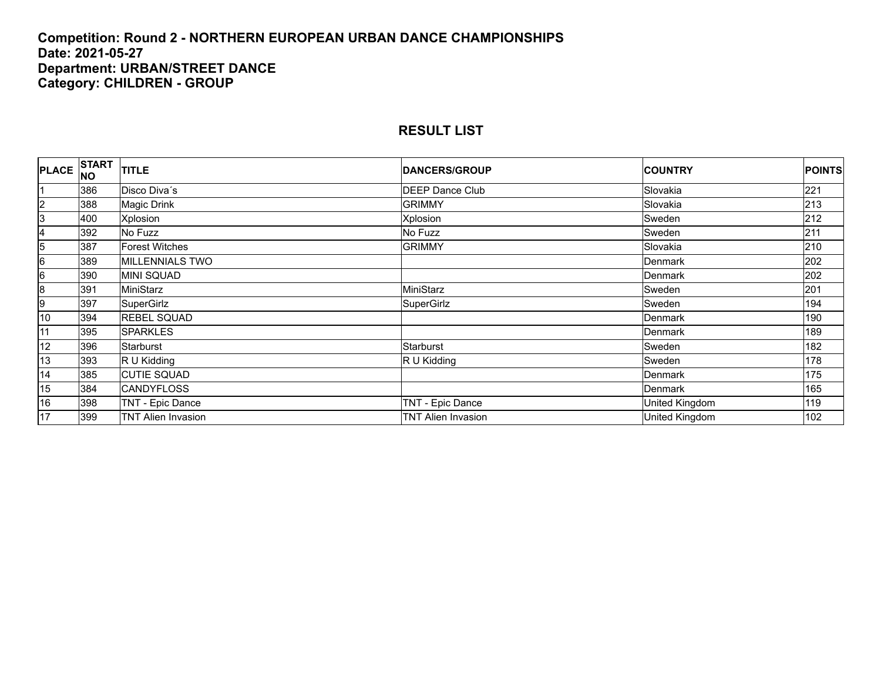#### **Competition: Round 2 - NORTHERN EUROPEAN URBAN DANCE CHAMPIONSHIPS Date: 2021-05-27 Department: URBAN/STREET DANCE Category: CHILDREN - GROUP**

| <b>PLACE</b>   | <b>START</b><br>INO | <b>TITLE</b>              | <b>DANCERS/GROUP</b>      | <b>COUNTRY</b> | <b>POINTS</b> |
|----------------|---------------------|---------------------------|---------------------------|----------------|---------------|
| I1             | 386                 | Disco Diva's              | <b>DEEP Dance Club</b>    | Slovakia       | 221           |
| $\overline{2}$ | 388                 | Magic Drink               | <b>GRIMMY</b>             | Slovakia       | 213           |
| 3              | 400                 | Xplosion                  | Xplosion                  | Sweden         | 212           |
| 4              | 392                 | No Fuzz                   | No Fuzz                   | Sweden         | 211           |
| $\overline{5}$ | 387                 | Forest Witches            | <b>GRIMMY</b>             | Slovakia       | 210           |
| 6              | 389                 | MILLENNIALS TWO           |                           | Denmark        | 202           |
| 6              | 390                 | <b>MINI SQUAD</b>         |                           | Denmark        | 202           |
| 8              | 391                 | MiniStarz                 | MiniStarz                 | Sweden         | 201           |
| 9              | 397                 | SuperGirlz                | SuperGirlz                | Sweden         | 194           |
| 10             | 394                 | <b>REBEL SQUAD</b>        |                           | Denmark        | 190           |
| 11             | 395                 | <b>SPARKLES</b>           |                           | Denmark        | 189           |
| 12             | 396                 | Starburst                 | Starburst                 | Sweden         | 182           |
| 13             | 393                 | R U Kidding               | R U Kidding               | Sweden         | 178           |
| 14             | 385                 | <b>CUTIE SQUAD</b>        |                           | Denmark        | 175           |
| 15             | 384                 | <b>CANDYFLOSS</b>         |                           | Denmark        | 165           |
| 16             | 398                 | TNT - Epic Dance          | TNT - Epic Dance          | United Kingdom | 119           |
| 17             | 399                 | <b>TNT Alien Invasion</b> | <b>TNT Alien Invasion</b> | United Kingdom | 102           |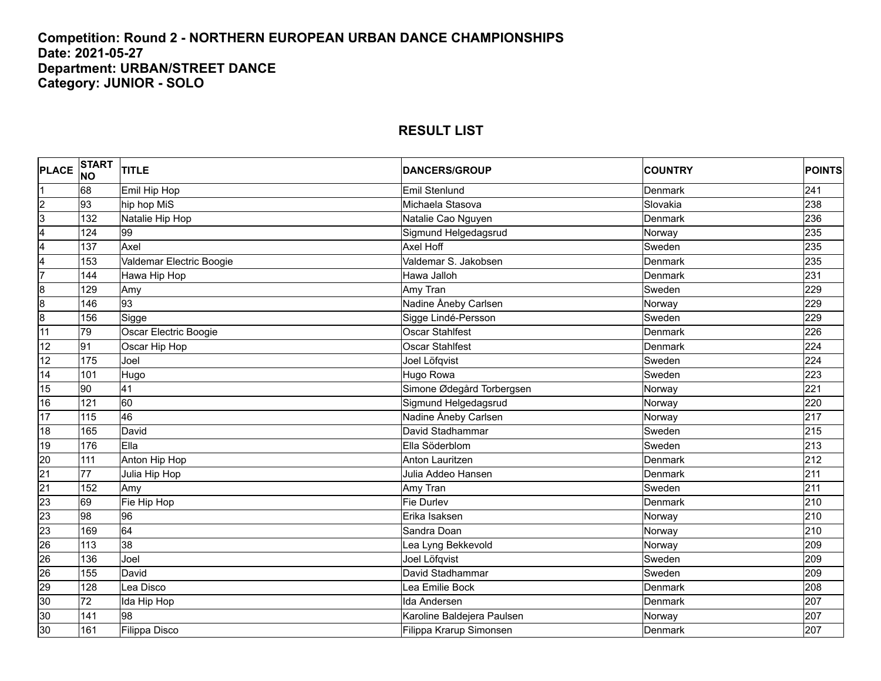#### **Competition: Round 2 - NORTHERN EUROPEAN URBAN DANCE CHAMPIONSHIPS Date: 2021-05-27 Department: URBAN/STREET DANCE Category: JUNIOR - SOLO**

| <b>PLACE</b>    | <b>START</b><br><b>NO</b> | <b>TITLE</b>             | <b>DANCERS/GROUP</b>       | <b>COUNTRY</b> | <b>POINTS</b> |
|-----------------|---------------------------|--------------------------|----------------------------|----------------|---------------|
|                 | 68                        | Emil Hip Hop             | Emil Stenlund              | Denmark        | 241           |
| $\overline{2}$  | 93                        | hip hop MiS              | Michaela Stasova           | Slovakia       | 238           |
| 3               | 132                       | Natalie Hip Hop          | Natalie Cao Nguyen         | Denmark        | 236           |
| 4               | 124                       | 99                       | Sigmund Helgedagsrud       | Norway         | 235           |
| 4               | 137                       | Axel                     | <b>Axel Hoff</b>           | Sweden         | 235           |
| 4               | 153                       | Valdemar Electric Boogie | Valdemar S. Jakobsen       | Denmark        | 235           |
| 7               | 144                       | Hawa Hip Hop             | Hawa Jalloh                | Denmark        | 231           |
| $\overline{8}$  | 129                       | Amy                      | Amy Tran                   | Sweden         | 229           |
| $\overline{8}$  | 146                       | 93                       | Nadine Åneby Carlsen       | Norway         | 229           |
| 8               | 156                       | Sigge                    | Sigge Lindé-Persson        | Sweden         | 229           |
| 11              | 79                        | Oscar Electric Boogie    | <b>Oscar Stahlfest</b>     | Denmark        | 226           |
| 12              | 91                        | Oscar Hip Hop            | <b>Oscar Stahlfest</b>     | <b>Denmark</b> | 224           |
| 12              | 175                       | Joel                     | Joel Löfqvist              | Sweden         | 224           |
| 14              | 101                       | Hugo                     | Hugo Rowa                  | Sweden         | 223           |
| 15              | 90                        | 41                       | Simone Ødegård Torbergsen  | Norway         | 221           |
| 16              | 121                       | 60                       | Sigmund Helgedagsrud       | Norway         | 220           |
| 17              | 115                       | 46                       | Nadine Åneby Carlsen       | Norway         | 217           |
| 18              | 165                       | David                    | David Stadhammar           | Sweden         | 215           |
| 19              | 176                       | Ella                     | Ella Söderblom             | Sweden         | 213           |
| 20              | 111                       | Anton Hip Hop            | <b>Anton Lauritzen</b>     | Denmark        | 212           |
| $\overline{21}$ | 77                        | Julia Hip Hop            | Julia Addeo Hansen         | Denmark        | 211           |
| $\overline{21}$ | 152                       | Amy                      | Amy Tran                   | Sweden         | 211           |
| 23              | 69                        | Fie Hip Hop              | <b>Fie Durlev</b>          | Denmark        | 210           |
| 23              | 98                        | 96                       | Erika Isaksen              | Norway         | 210           |
| 23              | 169                       | 64                       | Sandra Doan                | Norway         | 210           |
| 26              | 113                       | အ                        | ea Lyng Bekkevold          | Norway         | 209           |
| 26              | 136                       | Joel                     | Joel Löfqvist              | Sweden         | 209           |
| 26              | 155                       | David                    | David Stadhammar           | Sweden         | 209           |
| 29              | 128                       | Lea Disco                | Lea Emilie Bock            | Denmark        | 208           |
| 30              | 72                        | Ida Hip Hop              | Ida Andersen               | Denmark        | 207           |
| 30              | 141                       | 98                       | Karoline Baldejera Paulsen | Norway         | 207           |
| 30              | 161                       | Filippa Disco            | Filippa Krarup Simonsen    | Denmark        | 207           |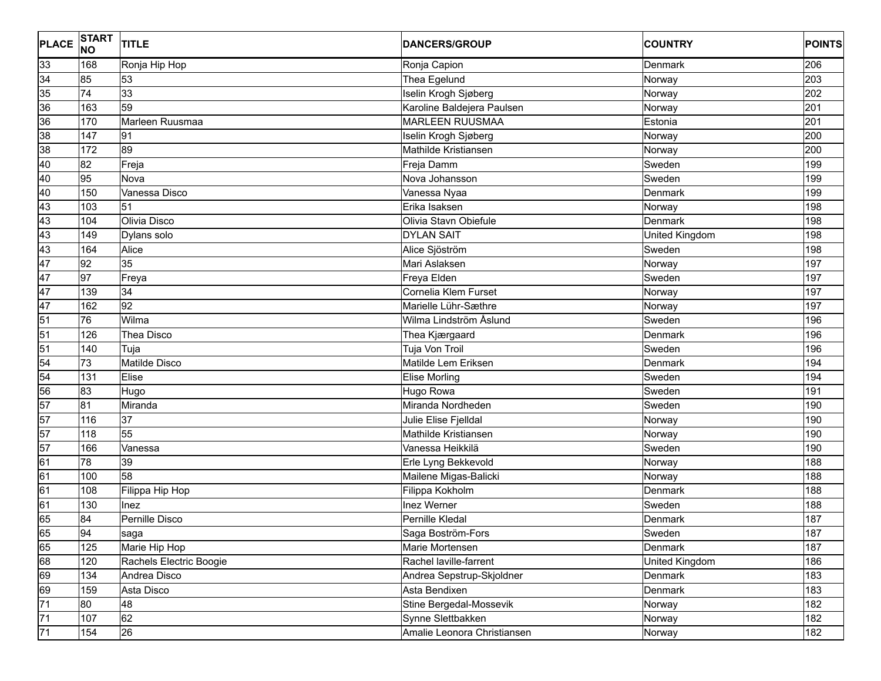| 33<br>206<br>168<br>Ronja Hip Hop<br>Ronja Capion<br>Denmark<br>34<br>85<br>203<br>53<br>Thea Egelund<br>Norway<br>35<br>33<br>74<br>Iselin Krogh Sjøberg<br>202<br>Norway<br>36<br>59<br>Karoline Baldejera Paulsen<br>201<br>163<br>Norway<br>36<br>170<br>Marleen Ruusmaa<br><b>MARLEEN RUUSMAA</b><br>Estonia<br>201<br>38<br>200<br>147<br>91<br>Iselin Krogh Sjøberg<br>Norway<br>89<br>38<br>172<br>Mathilde Kristiansen<br>200<br>Norway<br>40<br>82<br>199<br>Freja<br>Sweden<br>Freja Damm<br>40<br>95<br>Nova<br>Nova Johansson<br>199<br>Sweden<br>40<br>150<br>Vanessa Disco<br>Vanessa Nyaa<br>199<br>Denmark<br>43<br>51<br>198<br>103<br>Erika Isaksen<br>Norway<br>43<br>Olivia Disco<br>Olivia Stavn Obiefule<br>198<br>104<br>Denmark<br>43<br><b>DYLAN SAIT</b><br>198<br>149<br>Dylans solo<br>United Kingdom<br>43<br>Sweden<br>198<br>164<br>Alice<br>Alice Sjöström<br>47<br>35<br>92<br>Mari Aslaksen<br>Norway<br>197<br>47<br>97<br>197<br>Freya Elden<br>Sweden<br>Freya<br>47<br>34<br>197<br>139<br>Cornelia Klem Furset<br>Norway<br>47<br>92<br>162<br>197<br>Marielle Lühr-Sæthre<br>Norway<br>51<br>76<br>196<br>Wilma<br>Wilma Lindström Åslund<br>Sweden<br>196<br>126<br>Thea Disco<br>Thea Kjærgaard<br><b>Denmark</b><br>Tuja Von Troil<br>Sweden<br>196<br>140<br>Tuja<br>54<br>73<br>Matilde Disco<br>Matilde Lem Eriksen<br>194<br>Denmark<br>54<br>Sweden<br>194<br>131<br>Elise<br><b>Elise Morling</b><br>56<br>83<br>Hugo Rowa<br>Sweden<br>191<br>Hugo<br>57<br>81<br>Miranda<br>Miranda Nordheden<br>Sweden<br>190<br>57<br>116<br>37<br>190<br>Julie Elise Fjelldal<br>Norway<br>57<br>55<br>118<br>Mathilde Kristiansen<br>190<br>Norway<br>57<br>Sweden<br>190<br>166<br>Vanessa<br>Vanessa Heikkilä<br>78<br>39<br>Erle Lyng Bekkevold<br>188<br>Norway<br>58<br>Mailene Migas-Balicki<br>100<br>188<br>Norway<br>108<br>Filippa Kokholm<br>188<br>Filippa Hip Hop<br>Denmark<br>61<br>Inez Werner<br>Sweden<br>188<br>130<br><b>Inez</b><br>65<br>84<br>Pernille Disco<br>Pernille Kledal<br>187<br>Denmark<br>Saga Boström-Fors<br> 94<br>saga<br>Sweden<br>187<br>65<br>125<br>187<br>Denmark<br>Marie Hip Hop<br>Marie Mortensen<br>68<br>120<br>Rachel laville-farrent<br>186<br>Rachels Electric Boogie<br>United Kingdom<br>69<br>134<br>183<br>Andrea Disco<br>Andrea Sepstrup-Skjoldner<br>Denmark<br>69<br>183<br>159<br>Asta Disco<br>Asta Bendixen<br>Denmark<br>71<br>80<br>48<br>182<br>Stine Bergedal-Mossevik<br>Norway<br>$\overline{71}$<br>62<br>107<br>182<br>Synne Slettbakken<br>Norway<br>$\overline{71}$<br>26<br>154<br>Amalie Leonora Christiansen<br>182<br>Norway | <b>PLACE</b> | <b>START</b><br><b>NO</b> | <b>TITLE</b> | <b>DANCERS/GROUP</b> | <b>COUNTRY</b> | <b>POINTS</b> |
|---------------------------------------------------------------------------------------------------------------------------------------------------------------------------------------------------------------------------------------------------------------------------------------------------------------------------------------------------------------------------------------------------------------------------------------------------------------------------------------------------------------------------------------------------------------------------------------------------------------------------------------------------------------------------------------------------------------------------------------------------------------------------------------------------------------------------------------------------------------------------------------------------------------------------------------------------------------------------------------------------------------------------------------------------------------------------------------------------------------------------------------------------------------------------------------------------------------------------------------------------------------------------------------------------------------------------------------------------------------------------------------------------------------------------------------------------------------------------------------------------------------------------------------------------------------------------------------------------------------------------------------------------------------------------------------------------------------------------------------------------------------------------------------------------------------------------------------------------------------------------------------------------------------------------------------------------------------------------------------------------------------------------------------------------------------------------------------------------------------------------------------------------------------------------------------------------------------------------------------------------------------------------------------------------------------------------------------------------------------------------------------------------------------------------------------------------------------------------------------------------------------------------------------------------------------------------------------------------------------------------------------------------|--------------|---------------------------|--------------|----------------------|----------------|---------------|
|                                                                                                                                                                                                                                                                                                                                                                                                                                                                                                                                                                                                                                                                                                                                                                                                                                                                                                                                                                                                                                                                                                                                                                                                                                                                                                                                                                                                                                                                                                                                                                                                                                                                                                                                                                                                                                                                                                                                                                                                                                                                                                                                                                                                                                                                                                                                                                                                                                                                                                                                                                                                                                                   |              |                           |              |                      |                |               |
|                                                                                                                                                                                                                                                                                                                                                                                                                                                                                                                                                                                                                                                                                                                                                                                                                                                                                                                                                                                                                                                                                                                                                                                                                                                                                                                                                                                                                                                                                                                                                                                                                                                                                                                                                                                                                                                                                                                                                                                                                                                                                                                                                                                                                                                                                                                                                                                                                                                                                                                                                                                                                                                   |              |                           |              |                      |                |               |
|                                                                                                                                                                                                                                                                                                                                                                                                                                                                                                                                                                                                                                                                                                                                                                                                                                                                                                                                                                                                                                                                                                                                                                                                                                                                                                                                                                                                                                                                                                                                                                                                                                                                                                                                                                                                                                                                                                                                                                                                                                                                                                                                                                                                                                                                                                                                                                                                                                                                                                                                                                                                                                                   |              |                           |              |                      |                |               |
|                                                                                                                                                                                                                                                                                                                                                                                                                                                                                                                                                                                                                                                                                                                                                                                                                                                                                                                                                                                                                                                                                                                                                                                                                                                                                                                                                                                                                                                                                                                                                                                                                                                                                                                                                                                                                                                                                                                                                                                                                                                                                                                                                                                                                                                                                                                                                                                                                                                                                                                                                                                                                                                   |              |                           |              |                      |                |               |
|                                                                                                                                                                                                                                                                                                                                                                                                                                                                                                                                                                                                                                                                                                                                                                                                                                                                                                                                                                                                                                                                                                                                                                                                                                                                                                                                                                                                                                                                                                                                                                                                                                                                                                                                                                                                                                                                                                                                                                                                                                                                                                                                                                                                                                                                                                                                                                                                                                                                                                                                                                                                                                                   |              |                           |              |                      |                |               |
|                                                                                                                                                                                                                                                                                                                                                                                                                                                                                                                                                                                                                                                                                                                                                                                                                                                                                                                                                                                                                                                                                                                                                                                                                                                                                                                                                                                                                                                                                                                                                                                                                                                                                                                                                                                                                                                                                                                                                                                                                                                                                                                                                                                                                                                                                                                                                                                                                                                                                                                                                                                                                                                   |              |                           |              |                      |                |               |
|                                                                                                                                                                                                                                                                                                                                                                                                                                                                                                                                                                                                                                                                                                                                                                                                                                                                                                                                                                                                                                                                                                                                                                                                                                                                                                                                                                                                                                                                                                                                                                                                                                                                                                                                                                                                                                                                                                                                                                                                                                                                                                                                                                                                                                                                                                                                                                                                                                                                                                                                                                                                                                                   |              |                           |              |                      |                |               |
|                                                                                                                                                                                                                                                                                                                                                                                                                                                                                                                                                                                                                                                                                                                                                                                                                                                                                                                                                                                                                                                                                                                                                                                                                                                                                                                                                                                                                                                                                                                                                                                                                                                                                                                                                                                                                                                                                                                                                                                                                                                                                                                                                                                                                                                                                                                                                                                                                                                                                                                                                                                                                                                   |              |                           |              |                      |                |               |
|                                                                                                                                                                                                                                                                                                                                                                                                                                                                                                                                                                                                                                                                                                                                                                                                                                                                                                                                                                                                                                                                                                                                                                                                                                                                                                                                                                                                                                                                                                                                                                                                                                                                                                                                                                                                                                                                                                                                                                                                                                                                                                                                                                                                                                                                                                                                                                                                                                                                                                                                                                                                                                                   |              |                           |              |                      |                |               |
|                                                                                                                                                                                                                                                                                                                                                                                                                                                                                                                                                                                                                                                                                                                                                                                                                                                                                                                                                                                                                                                                                                                                                                                                                                                                                                                                                                                                                                                                                                                                                                                                                                                                                                                                                                                                                                                                                                                                                                                                                                                                                                                                                                                                                                                                                                                                                                                                                                                                                                                                                                                                                                                   |              |                           |              |                      |                |               |
|                                                                                                                                                                                                                                                                                                                                                                                                                                                                                                                                                                                                                                                                                                                                                                                                                                                                                                                                                                                                                                                                                                                                                                                                                                                                                                                                                                                                                                                                                                                                                                                                                                                                                                                                                                                                                                                                                                                                                                                                                                                                                                                                                                                                                                                                                                                                                                                                                                                                                                                                                                                                                                                   |              |                           |              |                      |                |               |
|                                                                                                                                                                                                                                                                                                                                                                                                                                                                                                                                                                                                                                                                                                                                                                                                                                                                                                                                                                                                                                                                                                                                                                                                                                                                                                                                                                                                                                                                                                                                                                                                                                                                                                                                                                                                                                                                                                                                                                                                                                                                                                                                                                                                                                                                                                                                                                                                                                                                                                                                                                                                                                                   |              |                           |              |                      |                |               |
|                                                                                                                                                                                                                                                                                                                                                                                                                                                                                                                                                                                                                                                                                                                                                                                                                                                                                                                                                                                                                                                                                                                                                                                                                                                                                                                                                                                                                                                                                                                                                                                                                                                                                                                                                                                                                                                                                                                                                                                                                                                                                                                                                                                                                                                                                                                                                                                                                                                                                                                                                                                                                                                   |              |                           |              |                      |                |               |
|                                                                                                                                                                                                                                                                                                                                                                                                                                                                                                                                                                                                                                                                                                                                                                                                                                                                                                                                                                                                                                                                                                                                                                                                                                                                                                                                                                                                                                                                                                                                                                                                                                                                                                                                                                                                                                                                                                                                                                                                                                                                                                                                                                                                                                                                                                                                                                                                                                                                                                                                                                                                                                                   |              |                           |              |                      |                |               |
|                                                                                                                                                                                                                                                                                                                                                                                                                                                                                                                                                                                                                                                                                                                                                                                                                                                                                                                                                                                                                                                                                                                                                                                                                                                                                                                                                                                                                                                                                                                                                                                                                                                                                                                                                                                                                                                                                                                                                                                                                                                                                                                                                                                                                                                                                                                                                                                                                                                                                                                                                                                                                                                   |              |                           |              |                      |                |               |
|                                                                                                                                                                                                                                                                                                                                                                                                                                                                                                                                                                                                                                                                                                                                                                                                                                                                                                                                                                                                                                                                                                                                                                                                                                                                                                                                                                                                                                                                                                                                                                                                                                                                                                                                                                                                                                                                                                                                                                                                                                                                                                                                                                                                                                                                                                                                                                                                                                                                                                                                                                                                                                                   |              |                           |              |                      |                |               |
|                                                                                                                                                                                                                                                                                                                                                                                                                                                                                                                                                                                                                                                                                                                                                                                                                                                                                                                                                                                                                                                                                                                                                                                                                                                                                                                                                                                                                                                                                                                                                                                                                                                                                                                                                                                                                                                                                                                                                                                                                                                                                                                                                                                                                                                                                                                                                                                                                                                                                                                                                                                                                                                   |              |                           |              |                      |                |               |
|                                                                                                                                                                                                                                                                                                                                                                                                                                                                                                                                                                                                                                                                                                                                                                                                                                                                                                                                                                                                                                                                                                                                                                                                                                                                                                                                                                                                                                                                                                                                                                                                                                                                                                                                                                                                                                                                                                                                                                                                                                                                                                                                                                                                                                                                                                                                                                                                                                                                                                                                                                                                                                                   |              |                           |              |                      |                |               |
|                                                                                                                                                                                                                                                                                                                                                                                                                                                                                                                                                                                                                                                                                                                                                                                                                                                                                                                                                                                                                                                                                                                                                                                                                                                                                                                                                                                                                                                                                                                                                                                                                                                                                                                                                                                                                                                                                                                                                                                                                                                                                                                                                                                                                                                                                                                                                                                                                                                                                                                                                                                                                                                   |              |                           |              |                      |                |               |
|                                                                                                                                                                                                                                                                                                                                                                                                                                                                                                                                                                                                                                                                                                                                                                                                                                                                                                                                                                                                                                                                                                                                                                                                                                                                                                                                                                                                                                                                                                                                                                                                                                                                                                                                                                                                                                                                                                                                                                                                                                                                                                                                                                                                                                                                                                                                                                                                                                                                                                                                                                                                                                                   | 51           |                           |              |                      |                |               |
|                                                                                                                                                                                                                                                                                                                                                                                                                                                                                                                                                                                                                                                                                                                                                                                                                                                                                                                                                                                                                                                                                                                                                                                                                                                                                                                                                                                                                                                                                                                                                                                                                                                                                                                                                                                                                                                                                                                                                                                                                                                                                                                                                                                                                                                                                                                                                                                                                                                                                                                                                                                                                                                   | 51           |                           |              |                      |                |               |
|                                                                                                                                                                                                                                                                                                                                                                                                                                                                                                                                                                                                                                                                                                                                                                                                                                                                                                                                                                                                                                                                                                                                                                                                                                                                                                                                                                                                                                                                                                                                                                                                                                                                                                                                                                                                                                                                                                                                                                                                                                                                                                                                                                                                                                                                                                                                                                                                                                                                                                                                                                                                                                                   |              |                           |              |                      |                |               |
|                                                                                                                                                                                                                                                                                                                                                                                                                                                                                                                                                                                                                                                                                                                                                                                                                                                                                                                                                                                                                                                                                                                                                                                                                                                                                                                                                                                                                                                                                                                                                                                                                                                                                                                                                                                                                                                                                                                                                                                                                                                                                                                                                                                                                                                                                                                                                                                                                                                                                                                                                                                                                                                   |              |                           |              |                      |                |               |
|                                                                                                                                                                                                                                                                                                                                                                                                                                                                                                                                                                                                                                                                                                                                                                                                                                                                                                                                                                                                                                                                                                                                                                                                                                                                                                                                                                                                                                                                                                                                                                                                                                                                                                                                                                                                                                                                                                                                                                                                                                                                                                                                                                                                                                                                                                                                                                                                                                                                                                                                                                                                                                                   |              |                           |              |                      |                |               |
|                                                                                                                                                                                                                                                                                                                                                                                                                                                                                                                                                                                                                                                                                                                                                                                                                                                                                                                                                                                                                                                                                                                                                                                                                                                                                                                                                                                                                                                                                                                                                                                                                                                                                                                                                                                                                                                                                                                                                                                                                                                                                                                                                                                                                                                                                                                                                                                                                                                                                                                                                                                                                                                   |              |                           |              |                      |                |               |
|                                                                                                                                                                                                                                                                                                                                                                                                                                                                                                                                                                                                                                                                                                                                                                                                                                                                                                                                                                                                                                                                                                                                                                                                                                                                                                                                                                                                                                                                                                                                                                                                                                                                                                                                                                                                                                                                                                                                                                                                                                                                                                                                                                                                                                                                                                                                                                                                                                                                                                                                                                                                                                                   |              |                           |              |                      |                |               |
|                                                                                                                                                                                                                                                                                                                                                                                                                                                                                                                                                                                                                                                                                                                                                                                                                                                                                                                                                                                                                                                                                                                                                                                                                                                                                                                                                                                                                                                                                                                                                                                                                                                                                                                                                                                                                                                                                                                                                                                                                                                                                                                                                                                                                                                                                                                                                                                                                                                                                                                                                                                                                                                   |              |                           |              |                      |                |               |
|                                                                                                                                                                                                                                                                                                                                                                                                                                                                                                                                                                                                                                                                                                                                                                                                                                                                                                                                                                                                                                                                                                                                                                                                                                                                                                                                                                                                                                                                                                                                                                                                                                                                                                                                                                                                                                                                                                                                                                                                                                                                                                                                                                                                                                                                                                                                                                                                                                                                                                                                                                                                                                                   |              |                           |              |                      |                |               |
|                                                                                                                                                                                                                                                                                                                                                                                                                                                                                                                                                                                                                                                                                                                                                                                                                                                                                                                                                                                                                                                                                                                                                                                                                                                                                                                                                                                                                                                                                                                                                                                                                                                                                                                                                                                                                                                                                                                                                                                                                                                                                                                                                                                                                                                                                                                                                                                                                                                                                                                                                                                                                                                   | 61           |                           |              |                      |                |               |
|                                                                                                                                                                                                                                                                                                                                                                                                                                                                                                                                                                                                                                                                                                                                                                                                                                                                                                                                                                                                                                                                                                                                                                                                                                                                                                                                                                                                                                                                                                                                                                                                                                                                                                                                                                                                                                                                                                                                                                                                                                                                                                                                                                                                                                                                                                                                                                                                                                                                                                                                                                                                                                                   | 61           |                           |              |                      |                |               |
|                                                                                                                                                                                                                                                                                                                                                                                                                                                                                                                                                                                                                                                                                                                                                                                                                                                                                                                                                                                                                                                                                                                                                                                                                                                                                                                                                                                                                                                                                                                                                                                                                                                                                                                                                                                                                                                                                                                                                                                                                                                                                                                                                                                                                                                                                                                                                                                                                                                                                                                                                                                                                                                   | 61           |                           |              |                      |                |               |
|                                                                                                                                                                                                                                                                                                                                                                                                                                                                                                                                                                                                                                                                                                                                                                                                                                                                                                                                                                                                                                                                                                                                                                                                                                                                                                                                                                                                                                                                                                                                                                                                                                                                                                                                                                                                                                                                                                                                                                                                                                                                                                                                                                                                                                                                                                                                                                                                                                                                                                                                                                                                                                                   |              |                           |              |                      |                |               |
|                                                                                                                                                                                                                                                                                                                                                                                                                                                                                                                                                                                                                                                                                                                                                                                                                                                                                                                                                                                                                                                                                                                                                                                                                                                                                                                                                                                                                                                                                                                                                                                                                                                                                                                                                                                                                                                                                                                                                                                                                                                                                                                                                                                                                                                                                                                                                                                                                                                                                                                                                                                                                                                   |              |                           |              |                      |                |               |
|                                                                                                                                                                                                                                                                                                                                                                                                                                                                                                                                                                                                                                                                                                                                                                                                                                                                                                                                                                                                                                                                                                                                                                                                                                                                                                                                                                                                                                                                                                                                                                                                                                                                                                                                                                                                                                                                                                                                                                                                                                                                                                                                                                                                                                                                                                                                                                                                                                                                                                                                                                                                                                                   | 165          |                           |              |                      |                |               |
|                                                                                                                                                                                                                                                                                                                                                                                                                                                                                                                                                                                                                                                                                                                                                                                                                                                                                                                                                                                                                                                                                                                                                                                                                                                                                                                                                                                                                                                                                                                                                                                                                                                                                                                                                                                                                                                                                                                                                                                                                                                                                                                                                                                                                                                                                                                                                                                                                                                                                                                                                                                                                                                   |              |                           |              |                      |                |               |
|                                                                                                                                                                                                                                                                                                                                                                                                                                                                                                                                                                                                                                                                                                                                                                                                                                                                                                                                                                                                                                                                                                                                                                                                                                                                                                                                                                                                                                                                                                                                                                                                                                                                                                                                                                                                                                                                                                                                                                                                                                                                                                                                                                                                                                                                                                                                                                                                                                                                                                                                                                                                                                                   |              |                           |              |                      |                |               |
|                                                                                                                                                                                                                                                                                                                                                                                                                                                                                                                                                                                                                                                                                                                                                                                                                                                                                                                                                                                                                                                                                                                                                                                                                                                                                                                                                                                                                                                                                                                                                                                                                                                                                                                                                                                                                                                                                                                                                                                                                                                                                                                                                                                                                                                                                                                                                                                                                                                                                                                                                                                                                                                   |              |                           |              |                      |                |               |
|                                                                                                                                                                                                                                                                                                                                                                                                                                                                                                                                                                                                                                                                                                                                                                                                                                                                                                                                                                                                                                                                                                                                                                                                                                                                                                                                                                                                                                                                                                                                                                                                                                                                                                                                                                                                                                                                                                                                                                                                                                                                                                                                                                                                                                                                                                                                                                                                                                                                                                                                                                                                                                                   |              |                           |              |                      |                |               |
|                                                                                                                                                                                                                                                                                                                                                                                                                                                                                                                                                                                                                                                                                                                                                                                                                                                                                                                                                                                                                                                                                                                                                                                                                                                                                                                                                                                                                                                                                                                                                                                                                                                                                                                                                                                                                                                                                                                                                                                                                                                                                                                                                                                                                                                                                                                                                                                                                                                                                                                                                                                                                                                   |              |                           |              |                      |                |               |
|                                                                                                                                                                                                                                                                                                                                                                                                                                                                                                                                                                                                                                                                                                                                                                                                                                                                                                                                                                                                                                                                                                                                                                                                                                                                                                                                                                                                                                                                                                                                                                                                                                                                                                                                                                                                                                                                                                                                                                                                                                                                                                                                                                                                                                                                                                                                                                                                                                                                                                                                                                                                                                                   |              |                           |              |                      |                |               |
|                                                                                                                                                                                                                                                                                                                                                                                                                                                                                                                                                                                                                                                                                                                                                                                                                                                                                                                                                                                                                                                                                                                                                                                                                                                                                                                                                                                                                                                                                                                                                                                                                                                                                                                                                                                                                                                                                                                                                                                                                                                                                                                                                                                                                                                                                                                                                                                                                                                                                                                                                                                                                                                   |              |                           |              |                      |                |               |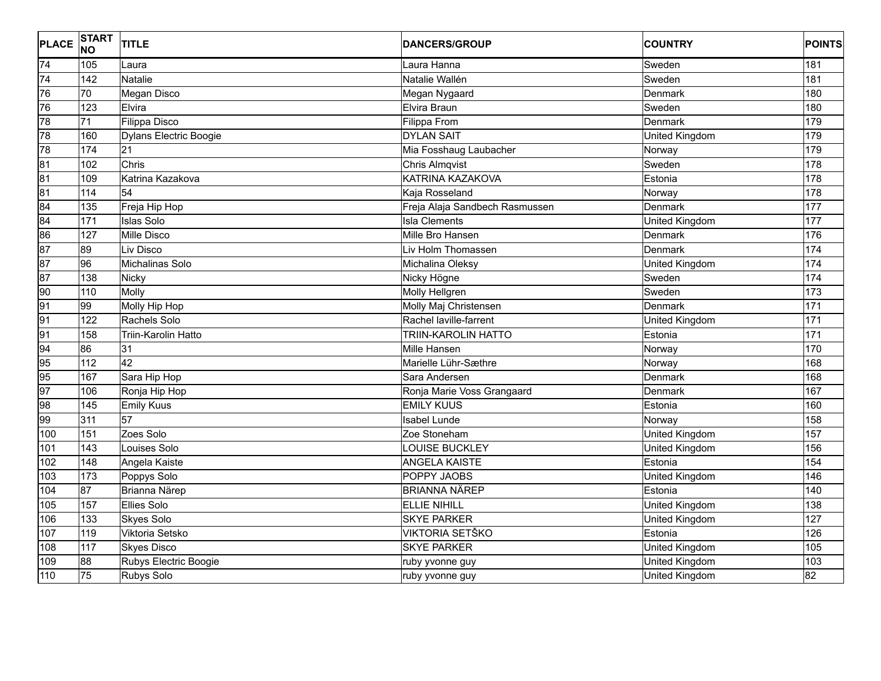| <b>PLACE</b>    | START<br>NO | TITLE                  | <b>DANCERS/GROUP</b>           | <b>COUNTRY</b>        | <b>POINTS</b>   |
|-----------------|-------------|------------------------|--------------------------------|-----------------------|-----------------|
| 74              | 105         | Laura                  | Laura Hanna                    | Sweden                | 181             |
| 74              | 142         | <b>Natalie</b>         | Natalie Wallén                 | Sweden                | 181             |
| 76              | 70          | Megan Disco            | Megan Nygaard                  | Denmark               | 180             |
| 76              | 123         | Elvira                 | Elvira Braun                   | Sweden                | 180             |
| 78              | 71          | Filippa Disco          | Filippa From                   | <b>Denmark</b>        | 179             |
| 78              | 160         | Dylans Electric Boogie | <b>DYLAN SAIT</b>              | United Kingdom        | 179             |
| 78              | 174         | 21                     | Mia Fosshaug Laubacher         | Norway                | 179             |
| 81              | 102         | Chris                  | <b>Chris Almqvist</b>          | Sweden                | 178             |
| 81              | 109         | Katrina Kazakova       | KATRINA KAZAKOVA               | Estonia               | 178             |
| $\overline{81}$ | 114         | 54                     | Kaja Rosseland                 | Norway                | 178             |
| $\overline{84}$ | 135         | Freja Hip Hop          | Freja Alaja Sandbech Rasmussen | Denmark               | 177             |
| 84              | 171         | <b>Islas Solo</b>      | <b>Isla Clements</b>           | United Kingdom        | 177             |
| 86              | 127         | Mille Disco            | Mille Bro Hansen               | Denmark               | 176             |
| $\overline{87}$ | 89          | Liv Disco              | Liv Holm Thomassen             | Denmark               | 174             |
| $\overline{87}$ | 96          | Michalinas Solo        | Michalina Oleksy               | United Kingdom        | 174             |
| 87              | 138         | <b>Nicky</b>           | Nicky Högne                    | Sweden                | 174             |
| 90              | 110         | Molly                  | <b>Molly Hellgren</b>          | Sweden                | 173             |
| 91              | 99          | Molly Hip Hop          | Molly Maj Christensen          | Denmark               | 171             |
| 91              | 122         | Rachels Solo           | Rachel laville-farrent         | United Kingdom        | $\frac{1}{171}$ |
| 91              | 158         | Triin-Karolin Hatto    | <b>TRIIN-KAROLIN HATTO</b>     | Estonia               | $\frac{1}{171}$ |
| 94              | 86          | 31                     | Mille Hansen                   | Norway                | 170             |
| 95              | 112         | 42                     | Marielle Lühr-Sæthre           | Norway                | 168             |
| 95              | 167         | Sara Hip Hop           | Sara Andersen                  | Denmark               | 168             |
| 97              | 106         | Ronja Hip Hop          | Ronja Marie Voss Grangaard     | Denmark               | 167             |
| 98              | 145         | <b>Emily Kuus</b>      | <b>EMILY KUUS</b>              | Estonia               | 160             |
| 99              | 311         | 57                     | Isabel Lunde                   | Norway                | 158             |
| 100             | 151         | Zoes Solo              | Zoe Stoneham                   | United Kingdom        | 157             |
| 101             | 143         | Louises Solo           | LOUISE BUCKLEY                 | <b>United Kingdom</b> | 156             |
| 102             | 148         | Angela Kaiste          | <b>ANGELA KAISTE</b>           | Estonia               | 154             |
| 103             | 173         | Poppys Solo            | <b>POPPY JAOBS</b>             | United Kingdom        | 146             |
| 104             | 87          | <b>Brianna Närep</b>   | <b>BRIANNA NÄREP</b>           | Estonia               | 140             |
| 105             | 157         | <b>Ellies Solo</b>     | <b>ELLIE NIHILL</b>            | United Kingdom        | 138             |
| 106             | 133         | <b>Skyes Solo</b>      | <b>SKYE PARKER</b>             | United Kingdom        | 127             |
| 107             | 119         | Viktoria Setsko        | VIKTORIA SETŠKO                | Estonia               | 126             |
| 108             | 117         | <b>Skyes Disco</b>     | <b>SKYE PARKER</b>             | United Kingdom        | 105             |
| 109             | 88          | Rubys Electric Boogie  | ruby yvonne guy                | United Kingdom        | 103             |
| 110             | 75          | Rubys Solo             | ruby yvonne guy                | United Kingdom        | 82              |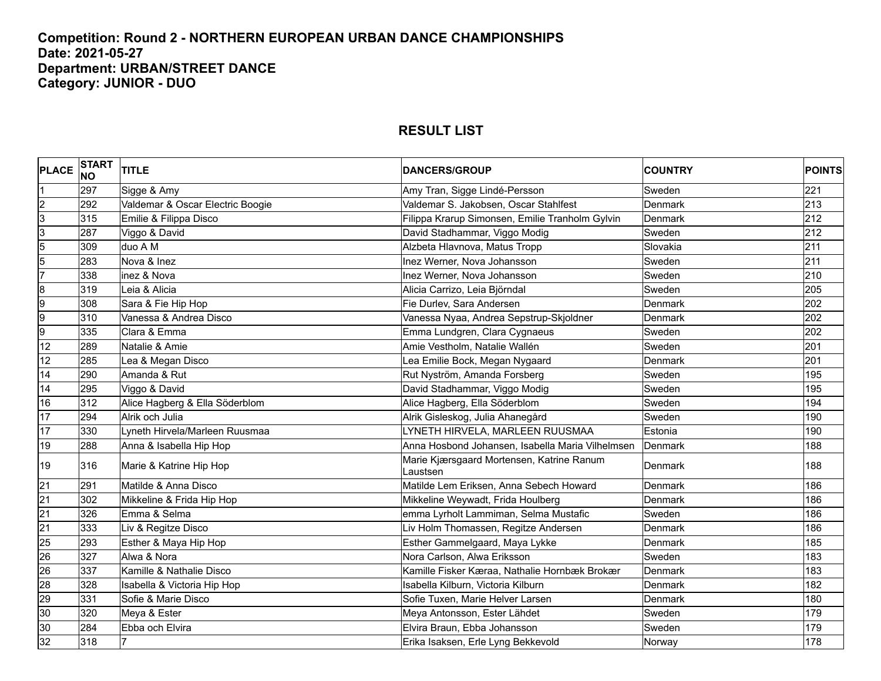#### **Competition: Round 2 - NORTHERN EUROPEAN URBAN DANCE CHAMPIONSHIPS Date: 2021-05-27 Department: URBAN/STREET DANCE Category: JUNIOR - DUO**

| <b>PLACE</b>    | <b>START</b><br><b>NO</b> | <b>TITLE</b>                     | <b>DANCERS/GROUP</b>                                  | <b>COUNTRY</b> | <b>POINTS</b> |
|-----------------|---------------------------|----------------------------------|-------------------------------------------------------|----------------|---------------|
|                 | 297                       | Sigge & Amy                      | Amy Tran, Sigge Lindé-Persson                         | Sweden         | 221           |
| $\frac{2}{3}$   | 292                       | Valdemar & Oscar Electric Boogie | Valdemar S. Jakobsen, Oscar Stahlfest                 | Denmark        | 213           |
|                 | 315                       | Emilie & Filippa Disco           | Filippa Krarup Simonsen, Emilie Tranholm Gylvin       | Denmark        | 212           |
| 3               | 287                       | Viggo & David                    | David Stadhammar, Viggo Modig                         | Sweden         | 212           |
| $\overline{5}$  | 309                       | duo A M                          | Alzbeta Hlavnova, Matus Tropp                         | Slovakia       | 211           |
| $\overline{5}$  | 283                       | Nova & Inez                      | Inez Werner, Nova Johansson                           | Sweden         | 211           |
| 7               | 338                       | inez & Nova                      | Inez Werner, Nova Johansson                           | Sweden         | 210           |
| $\overline{8}$  | 319                       | Leia & Alicia                    | Alicia Carrizo, Leia Björndal                         | Sweden         | 205           |
| 9               | 308                       | Sara & Fie Hip Hop               | Fie Durlev, Sara Andersen                             | Denmark        | 202           |
| 9               | 310                       | Vanessa & Andrea Disco           | Vanessa Nyaa, Andrea Sepstrup-Skjoldner               | Denmark        | 202           |
| 9               | 335                       | Clara & Emma                     | Emma Lundgren, Clara Cygnaeus                         | Sweden         | 202           |
| 12              | 289                       | Natalie & Amie                   | Amie Vestholm, Natalie Wallén                         | Sweden         | 201           |
| 12              | 285                       | Lea & Megan Disco                | Lea Emilie Bock, Megan Nygaard                        | Denmark        | 201           |
| 14              | 290                       | Amanda & Rut                     | Rut Nyström, Amanda Forsberg                          | Sweden         | 195           |
| 14              | 295                       | Viggo & David                    | David Stadhammar, Viggo Modig                         | Sweden         | 195           |
| 16              | 312                       | Alice Hagberg & Ella Söderblom   | Alice Hagberg, Ella Söderblom                         | Sweden         | 194           |
| 17              | 294                       | Alrik och Julia                  | Alrik Gisleskog, Julia Ahanegård                      | Sweden         | 190           |
| 17              | 330                       | Lyneth Hirvela/Marleen Ruusmaa   | LYNETH HIRVELA, MARLEEN RUUSMAA                       | Estonia        | 190           |
| 19              | 288                       | Anna & Isabella Hip Hop          | Anna Hosbond Johansen, Isabella Maria Vilhelmsen      | Denmark        | 188           |
| 19              | 316                       | Marie & Katrine Hip Hop          | Marie Kjærsgaard Mortensen, Katrine Ranum<br>Laustsen | <b>Denmark</b> | 188           |
| $\overline{21}$ | 291                       | Matilde & Anna Disco             | Matilde Lem Eriksen, Anna Sebech Howard               | Denmark        | 186           |
| 21              | 302                       | Mikkeline & Frida Hip Hop        | Mikkeline Weywadt, Frida Houlberg                     | Denmark        | 186           |
| $\overline{21}$ | 326                       | Emma & Selma                     | emma Lyrholt Lammiman, Selma Mustafic                 | Sweden         | 186           |
| 21              | 333                       | Liv & Regitze Disco              | Liv Holm Thomassen, Regitze Andersen                  | Denmark        | 186           |
| 25              | 293                       | Esther & Maya Hip Hop            | Esther Gammelgaard, Maya Lykke                        | Denmark        | 185           |
| 26              | 327                       | Alwa & Nora                      | Nora Carlson, Alwa Eriksson                           | Sweden         | 183           |
| 26              | 337                       | Kamille & Nathalie Disco         | Kamille Fisker Kæraa, Nathalie Hornbæk Brokær         | Denmark        | 183           |
| 28              | 328                       | Isabella & Victoria Hip Hop      | Isabella Kilburn, Victoria Kilburn                    | Denmark        | 182           |
| 29              | 331                       | Sofie & Marie Disco              | Sofie Tuxen, Marie Helver Larsen                      | Denmark        | 180           |
| 30              | 320                       | Meya & Ester                     | Meya Antonsson, Ester Lähdet                          | Sweden         | 179           |
| 30              | 284                       | Ebba och Elvira                  | Elvira Braun, Ebba Johansson                          | Sweden         | 179           |
| 32              | 318                       |                                  | Erika Isaksen, Erle Lyng Bekkevold                    | Norway         | 178           |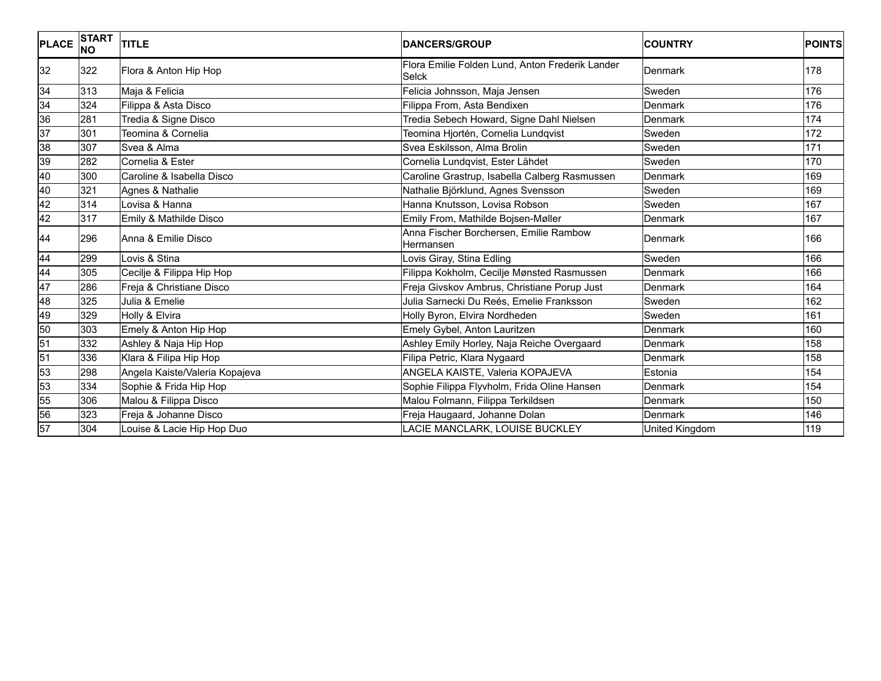| PLACE           | <b>START</b><br><b>NO</b> | <b>TITLE</b>                   | <b>DANCERS/GROUP</b>                                            | <b>COUNTRY</b> | <b>POINTS</b> |
|-----------------|---------------------------|--------------------------------|-----------------------------------------------------------------|----------------|---------------|
| 32              | 322                       | Flora & Anton Hip Hop          | Flora Emilie Folden Lund, Anton Frederik Lander<br><b>Selck</b> | Denmark        | 178           |
| 34              | 313                       | Maja & Felicia                 | Felicia Johnsson, Maja Jensen                                   | Sweden         | 176           |
| 34              | 324                       | Filippa & Asta Disco           | Filippa From, Asta Bendixen                                     | Denmark        | 176           |
| 36              | 281                       | Tredia & Signe Disco           | Tredia Sebech Howard, Signe Dahl Nielsen                        | Denmark        | 174           |
| $\overline{37}$ | 301                       | Teomina & Cornelia             | Teomina Hjortén, Cornelia Lundqvist                             | Sweden         | 172           |
| 38              | 307                       | Svea & Alma                    | Svea Eskilsson, Alma Brolin                                     | Sweden         | 171           |
| 39              | 282                       | Cornelia & Ester               | Cornelia Lundqvist, Ester Lähdet                                | Sweden         | 170           |
| 40              | 300                       | Caroline & Isabella Disco      | Caroline Grastrup, Isabella Calberg Rasmussen                   | Denmark        | 169           |
| 40              | 321                       | Agnes & Nathalie               | Nathalie Björklund, Agnes Svensson                              | Sweden         | 169           |
| $\overline{42}$ | 314                       | Lovisa & Hanna                 | Hanna Knutsson, Lovisa Robson                                   | Sweden         | 167           |
| $\overline{42}$ | 317                       | Emily & Mathilde Disco         | Emily From, Mathilde Bojsen-Møller                              | Denmark        | 167           |
| 44              | 296                       | Anna & Emilie Disco            | Anna Fischer Borchersen, Emilie Rambow<br>Hermansen             | Denmark        | 166           |
| 44              | 299                       | Lovis & Stina                  | ovis Giray, Stina Edling                                        | Sweden         | 166           |
| 44              | 305                       | Cecilje & Filippa Hip Hop      | Filippa Kokholm, Cecilje Mønsted Rasmussen                      | Denmark        | 166           |
| 47              | 286                       | Freja & Christiane Disco       | Freja Givskov Ambrus, Christiane Porup Just                     | Denmark        | 164           |
| 48              | 325                       | Julia & Emelie                 | Julia Sarnecki Du Reés, Emelie Franksson                        | Sweden         | 162           |
| 49              | 329                       | Holly & Elvira                 | Holly Byron, Elvira Nordheden                                   | Sweden         | 161           |
| 50              | 303                       | Emely & Anton Hip Hop          | Emely Gybel, Anton Lauritzen                                    | <b>Denmark</b> | 160           |
| 51              | 332                       | Ashley & Naja Hip Hop          | Ashley Emily Horley, Naja Reiche Overgaard                      | Denmark        | 158           |
| 51              | 336                       | Klara & Filipa Hip Hop         | Filipa Petric, Klara Nygaard                                    | Denmark        | 158           |
| 53              | 298                       | Angela Kaiste/Valeria Kopajeva | ANGELA KAISTE, Valeria KOPAJEVA                                 | Estonia        | 154           |
| 53              | 334                       | Sophie & Frida Hip Hop         | Sophie Filippa Flyvholm, Frida Oline Hansen                     | Denmark        | 154           |
| 55              | 306                       | Malou & Filippa Disco          | Malou Folmann, Filippa Terkildsen                               | Denmark        | 150           |
| 56              | 323                       | Freja & Johanne Disco          | Freja Haugaard, Johanne Dolan                                   | <b>Denmark</b> | 146           |
| 57              | 304                       | Louise & Lacie Hip Hop Duo     | LACIE MANCLARK, LOUISE BUCKLEY                                  | United Kingdom | 119           |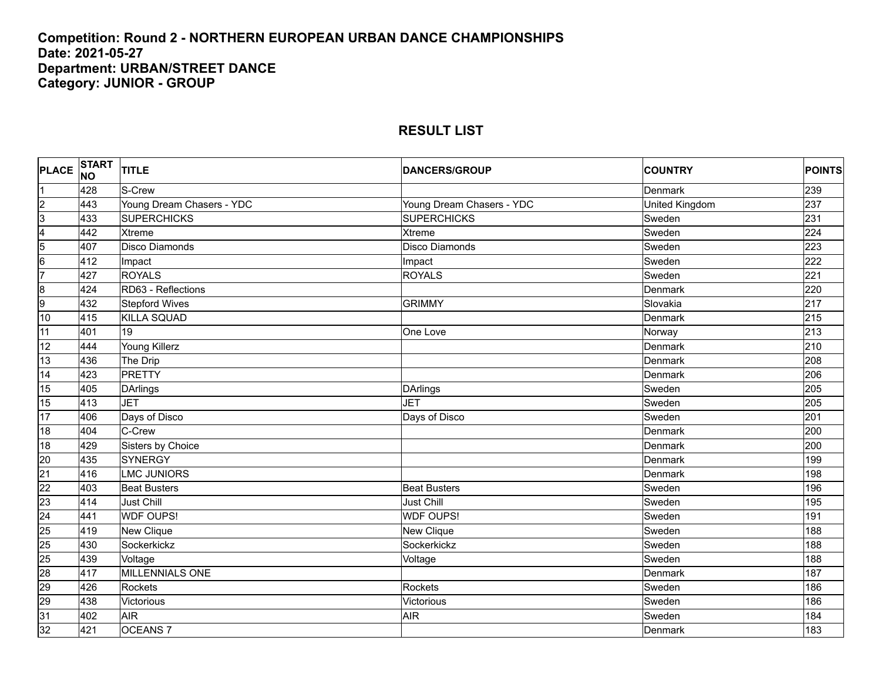#### **Competition: Round 2 - NORTHERN EUROPEAN URBAN DANCE CHAMPIONSHIPS Date: 2021-05-27 Department: URBAN/STREET DANCE Category: JUNIOR - GROUP**

| PLACE START             |     | <b>TITLE</b>              | <b>DANCERS/GROUP</b>      | <b>COUNTRY</b> | <b>POINTS</b> |
|-------------------------|-----|---------------------------|---------------------------|----------------|---------------|
|                         | 428 | S-Crew                    |                           | Denmark        | 239           |
| $\overline{2}$          | 443 | Young Dream Chasers - YDC | Young Dream Chasers - YDC | United Kingdom | 237           |
| $\overline{3}$          | 433 | <b>SUPERCHICKS</b>        | <b>SUPERCHICKS</b>        | Sweden         | 231           |
| $\overline{\mathbf{4}}$ | 442 | <b>Xtreme</b>             | Xtreme                    | Sweden         | 224           |
| $\overline{5}$          | 407 | <b>Disco Diamonds</b>     | <b>Disco Diamonds</b>     | Sweden         | 223           |
| $\overline{6}$          | 412 | Impact                    | Impact                    | Sweden         | 222           |
| 7                       | 427 | <b>ROYALS</b>             | <b>ROYALS</b>             | Sweden         | 221           |
| $\overline{8}$          | 424 | RD63 - Reflections        |                           | Denmark        | 220           |
| 9                       | 432 | <b>Stepford Wives</b>     | <b>GRIMMY</b>             | Slovakia       | 217           |
| 10                      | 415 | <b>KILLA SQUAD</b>        |                           | Denmark        | 215           |
| 11                      | 401 | 19                        | One Love                  | Norway         | 213           |
| 12                      | 444 | Young Killerz             |                           | Denmark        | 210           |
| 13                      | 436 | The Drip                  |                           | Denmark        | 208           |
| 14                      | 423 | <b>PRETTY</b>             |                           | Denmark        | 206           |
| 15                      | 405 | <b>DArlings</b>           | <b>DArlings</b>           | Sweden         | 205           |
| 15                      | 413 | <b>JET</b>                | <b>JET</b>                | Sweden         | 205           |
| 17                      | 406 | Days of Disco             | Days of Disco             | Sweden         | 201           |
| 18                      | 404 | C-Crew                    |                           | Denmark        | 200           |
| 18                      | 429 | Sisters by Choice         |                           | Denmark        | 200           |
| 20                      | 435 | <b>SYNERGY</b>            |                           | Denmark        | 199           |
| $\overline{21}$         | 416 | <b>LMC JUNIORS</b>        |                           | Denmark        | 198           |
| $\overline{22}$         | 403 | <b>Beat Busters</b>       | <b>Beat Busters</b>       | Sweden         | 196           |
| 23                      | 414 | <b>Just Chill</b>         | Just Chill                | Sweden         | 195           |
| 24                      | 441 | <b>WDF OUPS!</b>          | <b>WDF OUPS!</b>          | Sweden         | 191           |
| 25                      | 419 | <b>New Clique</b>         | New Clique                | Sweden         | 188           |
| 25                      | 430 | Sockerkickz               | Sockerkickz               | Sweden         | 188           |
| 25                      | 439 | Voltage                   | Voltage                   | Sweden         | 188           |
| 28                      | 417 | <b>MILLENNIALS ONE</b>    |                           | Denmark        | 187           |
| 29                      | 426 | Rockets                   | Rockets                   | Sweden         | 186           |
| 29                      | 438 | Victorious                | Victorious                | Sweden         | 186           |
| 31                      | 402 | <b>AIR</b>                | <b>AIR</b>                | Sweden         | 184           |
| 32                      | 421 | <b>OCEANS7</b>            |                           | Denmark        | 183           |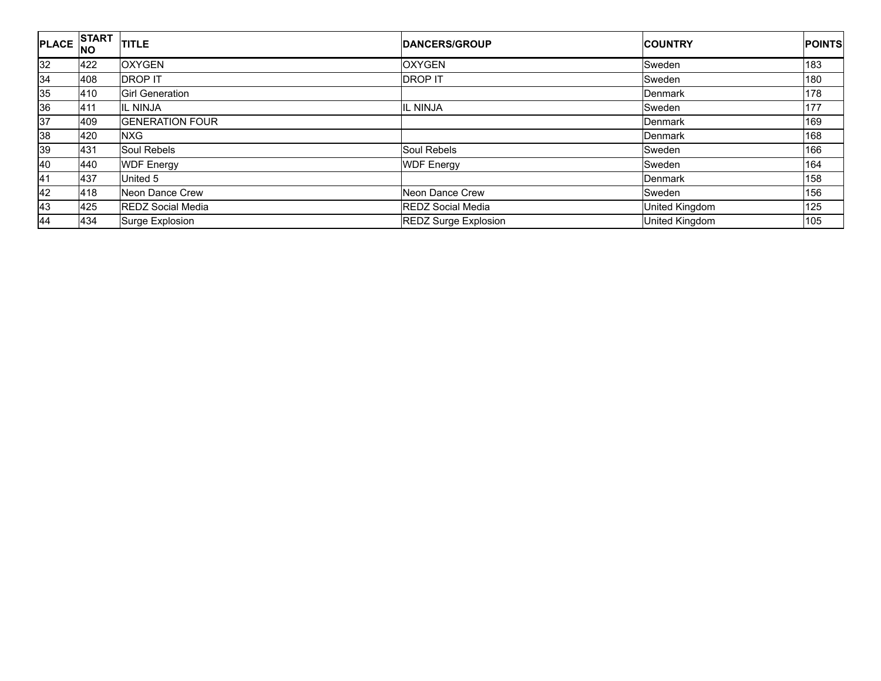| <b>PLACE</b> | START  <br><b>INO</b> | <b>TITLE</b>             | <b>IDANCERS/GROUP</b>       | <b>COUNTRY</b> | <b>POINTS</b> |
|--------------|-----------------------|--------------------------|-----------------------------|----------------|---------------|
| 32           | 422                   | <b>OXYGEN</b>            | <b>OXYGEN</b>               | Sweden         | 183           |
| 34           | 408                   | <b>DROP IT</b>           | <b>DROP IT</b>              | Sweden         | 180           |
| 35           | 410                   | <b>Girl Generation</b>   |                             | Denmark        | 178           |
| 36           | 411                   | <b>IL NINJA</b>          | IL NINJA                    | Sweden         | 177           |
| 37           | 409                   | <b>GENERATION FOUR</b>   |                             | Denmark        | 169           |
| 38           | 420                   | <b>NXG</b>               |                             | Denmark        | 168           |
| 39           | 431                   | Soul Rebels              | Soul Rebels                 | Sweden         | 166           |
| 40           | 440                   | <b>WDF Energy</b>        | <b>WDF Energy</b>           | Sweden         | 164           |
| 41           | 437                   | United 5                 |                             | Denmark        | 158           |
| 42           | 418                   | Neon Dance Crew          | Neon Dance Crew             | Sweden         | 156           |
| 43           | 425                   | <b>REDZ Social Media</b> | <b>REDZ Social Media</b>    | United Kingdom | 125           |
| 44           | 434                   | Surge Explosion          | <b>REDZ Surge Explosion</b> | United Kingdom | 105           |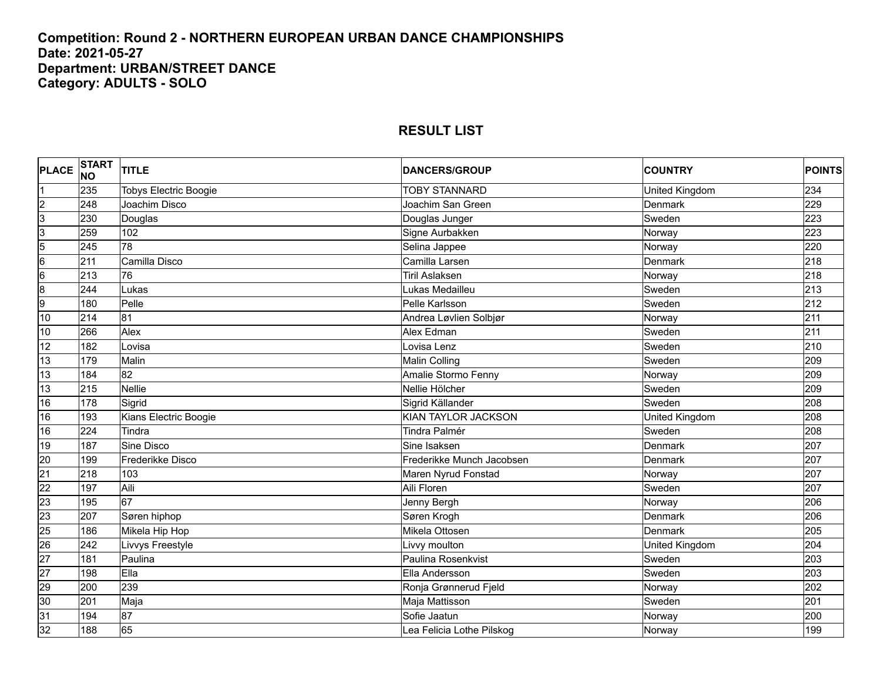#### **Competition: Round 2 - NORTHERN EUROPEAN URBAN DANCE CHAMPIONSHIPS Date: 2021-05-27 Department: URBAN/STREET DANCE Category: ADULTS - SOLO**

| <b>PLACE</b>    | START<br><b>NO</b> | <b>TITLE</b>                 | <b>DANCERS/GROUP</b>      | <b>COUNTRY</b> | <b>POINTS</b> |
|-----------------|--------------------|------------------------------|---------------------------|----------------|---------------|
|                 | 235                | <b>Tobys Electric Boogie</b> | <b>TOBY STANNARD</b>      | United Kingdom | 234           |
| $\overline{c}$  | 248                | Joachim Disco                | Joachim San Green         | Denmark        | 229           |
| 3               | 230                | Douglas                      | Douglas Junger            | Sweden         | 223           |
| 3               | 259                | 102                          | Signe Aurbakken           | Norway         | 223           |
| 5               | 245                | 78                           | Selina Jappee             | Norway         | 220           |
| $\overline{6}$  | 211                | Camilla Disco                | Camilla Larsen            | Denmark        | 218           |
| 6               | 213                | 76                           | <b>Tiril Aslaksen</b>     | Norway         | 218           |
| $\overline{8}$  | 244                | Lukas                        | Lukas Medailleu           | Sweden         | 213           |
| 9               | 180                | Pelle                        | Pelle Karlsson            | Sweden         | 212           |
| 10              | 214                | $\overline{81}$              | Andrea Løvlien Solbjør    | Norway         | 211           |
| 10              | 266                | Alex                         | Alex Edman                | Sweden         | 211           |
| 12              | 182                | Lovisa                       | Lovisa Lenz               | Sweden         | 210           |
| 13              | 179                | Malin                        | Malin Colling             | Sweden         | 209           |
| 13              | 184                | 82                           | Amalie Stormo Fenny       | Norway         | 209           |
| 13              | 215                | <b>Nellie</b>                | Nellie Hölcher            | Sweden         | 209           |
| 16              | 178                | Sigrid                       | Sigrid Källander          | Sweden         | 208           |
| 16              | 193                | Kians Electric Boogie        | KIAN TAYLOR JACKSON       | United Kingdom | 208           |
| 16              | 224                | Tindra                       | Tindra Palmér             | Sweden         | 208           |
| 19              | 187                | Sine Disco                   | Sine Isaksen              | Denmark        | 207           |
| 20              | 199                | Frederikke Disco             | Frederikke Munch Jacobsen | Denmark        | 207           |
| $\overline{21}$ | 218                | 103                          | Maren Nyrud Fonstad       | Norway         | 207           |
| $\overline{22}$ | 197                | Aili                         | Aili Floren               | Sweden         | 207           |
| 23              | 195                | 67                           | Jenny Bergh               | Norway         | 206           |
| 23              | 207                | Søren hiphop                 | Søren Krogh               | Denmark        | 206           |
| 25              | 186                | Mikela Hip Hop               | Mikela Ottosen            | Denmark        | 205           |
| $\overline{26}$ | 242                | Livvys Freestyle             | ivvy moulton              | United Kingdom | 204           |
| $\overline{27}$ | 181                | Paulina                      | Paulina Rosenkvist        | Sweden         | 203           |
| $\overline{27}$ | 198                | Ella                         | Ella Andersson            | Sweden         | 203           |
| 29              | 200                | 239                          | Ronja Grønnerud Fjeld     | Norway         | 202           |
| 30              | 201                | Maja                         | Maja Mattisson            | Sweden         | 201           |
| 31              | 194                | 87                           | Sofie Jaatun              | Norway         | 200           |
| 32              | 188                | 65                           | Lea Felicia Lothe Pilskog | Norway         | 199           |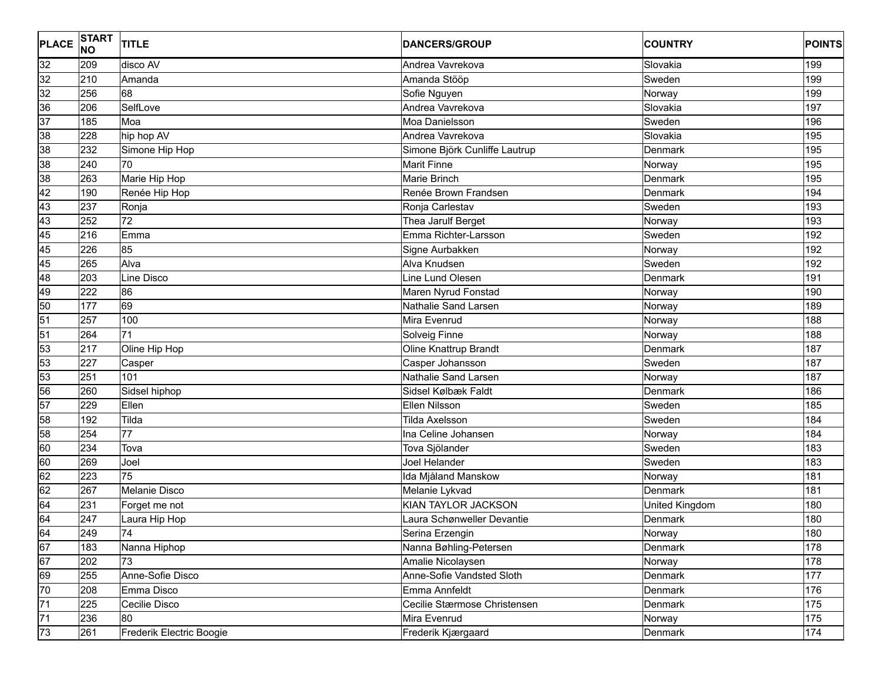| <b>PLACE</b>    | <b>START</b><br><b>NO</b> | <b>TITLE</b>             | <b>DANCERS/GROUP</b>          | <b>COUNTRY</b> | <b>POINTS</b> |
|-----------------|---------------------------|--------------------------|-------------------------------|----------------|---------------|
| 32              | 209                       | disco AV                 | Andrea Vavrekova              | Slovakia       | 199           |
| 32              | 210                       | Amanda                   | Amanda Stööp                  | Sweden         | 199           |
| 32              | 256                       | 68                       | Sofie Nguyen                  | Norway         | 199           |
| 36              | 206                       | SelfLove                 | Andrea Vavrekova              | Slovakia       | 197           |
| 37              | 185                       | Moa                      | Moa Danielsson                | Sweden         | 196           |
| 38              | 228                       | hip hop AV               | Andrea Vavrekova              | Slovakia       | 195           |
| 38              | 232                       | Simone Hip Hop           | Simone Björk Cunliffe Lautrup | Denmark        | 195           |
| 38              | 240                       | 70                       | Marit Finne                   | Norway         | 195           |
| 38              | 263                       | Marie Hip Hop            | Marie Brinch                  | Denmark        | 195           |
| 42              | 190                       | Renée Hip Hop            | Renée Brown Frandsen          | Denmark        | 194           |
| 43              | 237                       | Ronja                    | Ronja Carlestav               | Sweden         | 193           |
| 43              | 252                       | 72                       | Thea Jarulf Berget            | Norway         | 193           |
| 45              | 216                       | Emma                     | Emma Richter-Larsson          | Sweden         | 192           |
| 45              | 226                       | 85                       | Signe Aurbakken               | Norway         | 192           |
| 45              | 265                       | Alva                     | Alva Knudsen                  | Sweden         | 192           |
| 48              | 203                       | Line Disco               | Line Lund Olesen              | Denmark        | 191           |
| 49              | 222                       | 86                       | Maren Nyrud Fonstad           | Norway         | 190           |
| 50              | 177                       | 69                       | Nathalie Sand Larsen          | Norway         | 189           |
| $\overline{51}$ | 257                       | 100                      | Mira Evenrud                  | Norway         | 188           |
| 51              | 264                       | 71                       | Solveig Finne                 | Norway         | 188           |
| 53              | 217                       | Oline Hip Hop            | Oline Knattrup Brandt         | Denmark        | 187           |
| 53              | 227                       | Casper                   | Casper Johansson              | Sweden         | 187           |
| 53              | 251                       | 101                      | Nathalie Sand Larsen          | Norway         | 187           |
| 56              | 260                       | Sidsel hiphop            | Sidsel Kølbæk Faldt           | Denmark        | 186           |
| 57              | 229                       | Ellen                    | Ellen Nilsson                 | Sweden         | 185           |
| 58              | 192                       | Tilda                    | Tilda Axelsson                | Sweden         | 184           |
| 58              | 254                       | $\overline{77}$          | Ina Celine Johansen           | Norway         | 184           |
| 60              | 234                       | Tova                     | Tova Sjölander                | Sweden         | 183           |
| 60              | 269                       | Joel                     | Joel Helander                 | Sweden         | 183           |
| 62              | 223                       | 75                       | Ida Mjåland Manskow           | Norway         | 181           |
| 62              | 267                       | Melanie Disco            | Melanie Lykvad                | Denmark        | 181           |
| 64              | 231                       | Forget me not            | KIAN TAYLOR JACKSON           | United Kingdom | 180           |
| 64              | 247                       | Laura Hip Hop            | Laura Schønweller Devantie    | <b>Denmark</b> | 180           |
| 64              | 249                       | 74                       | Serina Erzengin               | Norway         | 180           |
| 67              | 183                       | Nanna Hiphop             | Nanna Bøhling-Petersen        | Denmark        | 178           |
| 67              | 202                       | 73                       | Amalie Nicolaysen             | Norway         | 178           |
| 69              | 255                       | Anne-Sofie Disco         | Anne-Sofie Vandsted Sloth     | Denmark        | 177           |
| 70              | 208                       | Emma Disco               | Emma Annfeldt                 | Denmark        | 176           |
| $\overline{71}$ | 225                       | Cecilie Disco            | Cecilie Stærmose Christensen  | Denmark        | 175           |
| $\overline{71}$ | 236                       | 80                       | Mira Evenrud                  | Norway         | $175$         |
| 73              | 261                       | Frederik Electric Boogie | Frederik Kjærgaard            | Denmark        | 174           |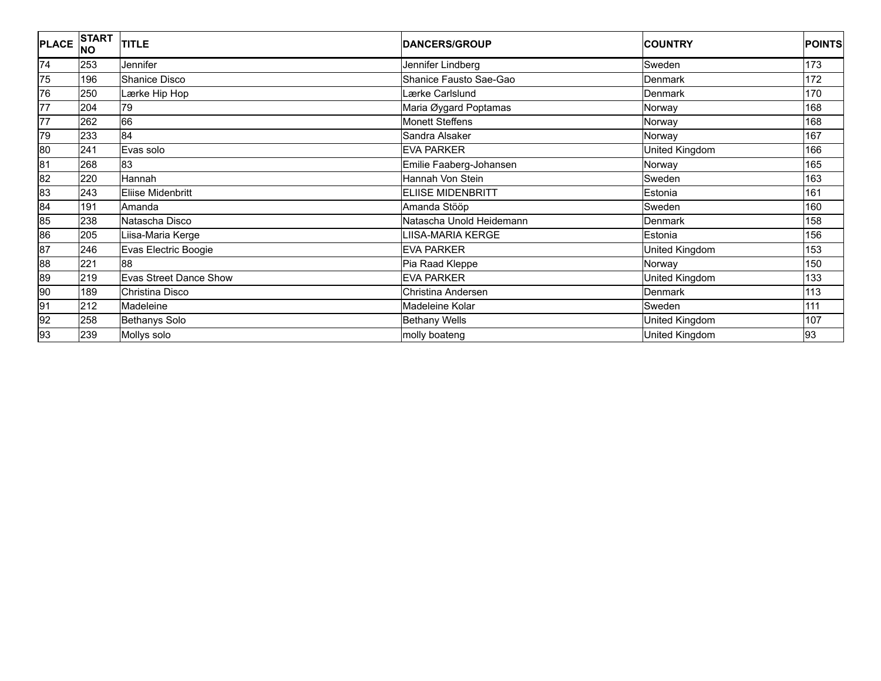| <b>PLACE</b>    | <b>START</b><br><b>NO</b> | <b>TITLE</b>           | <b>DANCERS/GROUP</b>     | <b>COUNTRY</b> | <b>POINTS</b> |
|-----------------|---------------------------|------------------------|--------------------------|----------------|---------------|
| 74              | 253                       | Jennifer               | Jennifer Lindberg        | Sweden         | 173           |
| 75              | 196                       | Shanice Disco          | Shanice Fausto Sae-Gao   | Denmark        | 172           |
| 76              | 250                       | Lærke Hip Hop          | Lærke Carlslund          | Denmark        | 170           |
| 77              | 204                       | 79                     | Maria Øygard Poptamas    | Norway         | 168           |
| $\overline{77}$ | 262                       | 66                     | <b>Monett Steffens</b>   | Norway         | 168           |
| 79              | 233                       | 84                     | Sandra Alsaker           | Norway         | 167           |
| 80              | 241                       | Evas solo              | <b>EVA PARKER</b>        | United Kingdom | 166           |
| 81              | 268                       | 83                     | Emilie Faaberg-Johansen  | Norway         | 165           |
| 82              | 220                       | Hannah                 | Hannah Von Stein         | Sweden         | 163           |
| 83              | 243                       | Eliise Midenbritt      | <b>ELIISE MIDENBRITT</b> | Estonia        | 161           |
| 84              | 191                       | Amanda                 | Amanda Stööp             | Sweden         | 160           |
| 85              | 238                       | Natascha Disco         | Natascha Unold Heidemann | Denmark        | 158           |
| 86              | 205                       | iisa-Maria Kerge       | LIISA-MARIA KERGE        | Estonia        | 156           |
| 87              | 246                       | Evas Electric Boogie   | <b>EVA PARKER</b>        | United Kingdom | 153           |
| 88              | 221                       | 88                     | Pia Raad Kleppe          | Norway         | 150           |
| 89              | 219                       | Evas Street Dance Show | <b>EVA PARKER</b>        | United Kingdom | 133           |
| 90              | 189                       | Christina Disco        | Christina Andersen       | Denmark        | 113           |
| 91              | 212                       | Madeleine              | Madeleine Kolar          | Sweden         | 111           |
| 92              | 258                       | Bethanys Solo          | <b>Bethany Wells</b>     | United Kingdom | 107           |
| 93              | 239                       | Mollys solo            | molly boateng            | United Kingdom | 93            |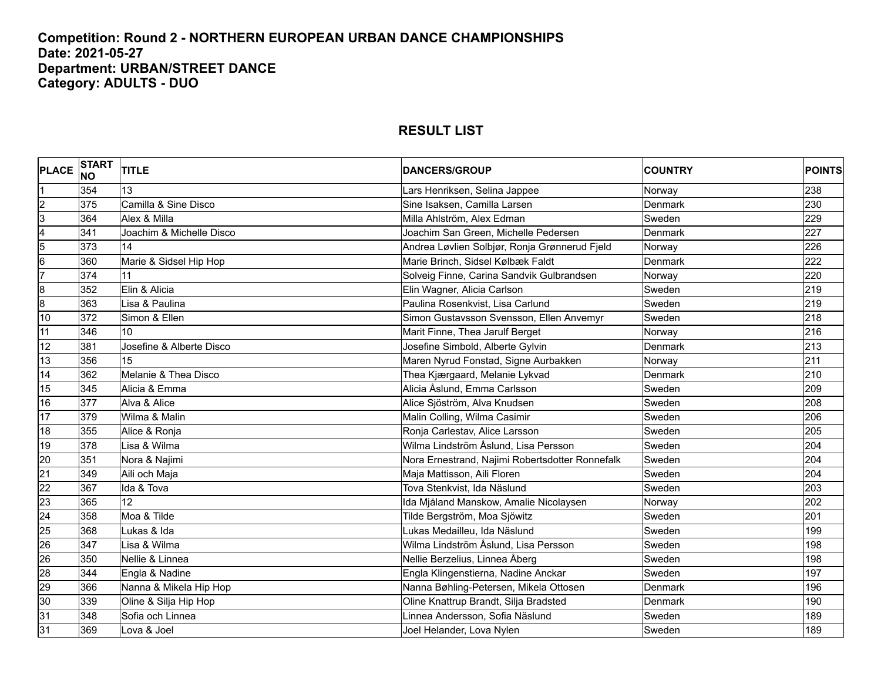#### **Competition: Round 2 - NORTHERN EUROPEAN URBAN DANCE CHAMPIONSHIPS Date: 2021-05-27 Department: URBAN/STREET DANCE Category: ADULTS - DUO**

| <b>PLACE</b> NO         | <b>START</b> | <b>TITLE</b>             | <b>DANCERS/GROUP</b>                            | <b>COUNTRY</b> | <b>POINTS</b> |
|-------------------------|--------------|--------------------------|-------------------------------------------------|----------------|---------------|
|                         | 354          | 13                       | Lars Henriksen, Selina Jappee                   | Norway         | 238           |
| $\overline{2}$          | 375          | Camilla & Sine Disco     | Sine Isaksen, Camilla Larsen                    | Denmark        | 230           |
| $\overline{3}$          | 364          | Alex & Milla             | Milla Ahlström, Alex Edman                      | Sweden         | 229           |
| $\overline{\mathbf{4}}$ | 341          | Joachim & Michelle Disco | Joachim San Green, Michelle Pedersen            | Denmark        | 227           |
| $5\overline{5}$         | 373          | 14                       | Andrea Løvlien Solbjør, Ronja Grønnerud Fjeld   | Norway         | 226           |
| $6\overline{6}$         | 360          | Marie & Sidsel Hip Hop   | Marie Brinch, Sidsel Kølbæk Faldt               | Denmark        | 222           |
| $\overline{7}$          | 374          | 11                       | Solveig Finne, Carina Sandvik Gulbrandsen       | Norway         | 220           |
| 8                       | 352          | Elin & Alicia            | Elin Wagner, Alicia Carlson                     | Sweden         | 219           |
| 8                       | 363          | Lisa & Paulina           | Paulina Rosenkvist, Lisa Carlund                | Sweden         | 219           |
| 10                      | 372          | Simon & Ellen            | Simon Gustavsson Svensson, Ellen Anvemyr        | Sweden         | 218           |
| 11                      | 346          | 10                       | Marit Finne, Thea Jarulf Berget                 | Norway         | 216           |
| 12                      | 381          | Josefine & Alberte Disco | Josefine Simbold, Alberte Gylvin                | <b>Denmark</b> | 213           |
| 13                      | 356          | 15                       | Maren Nyrud Fonstad, Signe Aurbakken            | Norway         | 211           |
| 14                      | 362          | Melanie & Thea Disco     | Thea Kjærgaard, Melanie Lykvad                  | Denmark        | 210           |
| 15                      | 345          | Alicia & Emma            | Alicia Åslund, Emma Carlsson                    | Sweden         | 209           |
| 16                      | 377          | Alva & Alice             | Alice Sjöström, Alva Knudsen                    | Sweden         | 208           |
| 17                      | 379          | Wilma & Malin            | Malin Colling, Wilma Casimir                    | Sweden         | 206           |
| 18                      | 355          | Alice & Ronja            | Ronja Carlestav, Alice Larsson                  | Sweden         | 205           |
| 19                      | 378          | Lisa & Wilma             | Wilma Lindström Åslund, Lisa Persson            | Sweden         | 204           |
| $\overline{20}$         | 351          | Nora & Najimi            | Nora Ernestrand, Najimi Robertsdotter Ronnefalk | Sweden         | 204           |
| $\overline{21}$         | 349          | Aili och Maja            | Maja Mattisson, Aili Floren                     | Sweden         | 204           |
| $\overline{22}$         | 367          | Ida & Tova               | Tova Stenkvist, Ida Näslund                     | Sweden         | 203           |
| 23                      | 365          | 12                       | Ida Mjåland Manskow, Amalie Nicolaysen          | Norway         | 202           |
| $\overline{24}$         | 358          | Moa & Tilde              | Tilde Bergström, Moa Sjöwitz                    | Sweden         | 201           |
| 25                      | 368          | Lukas & Ida              | Lukas Medailleu, Ida Näslund                    | Sweden         | 199           |
| $\overline{26}$         | 347          | Lisa & Wilma             | Wilma Lindström Åslund, Lisa Persson            | Sweden         | 198           |
| 26                      | 350          | Nellie & Linnea          | Nellie Berzelius, Linnea Åberg                  | Sweden         | 198           |
| 28                      | 344          | Engla & Nadine           | Engla Klingenstierna, Nadine Anckar             | Sweden         | 197           |
| $\overline{29}$         | 366          | Nanna & Mikela Hip Hop   | Nanna Bøhling-Petersen, Mikela Ottosen          | Denmark        | 196           |
| 30                      | 339          | Oline & Silja Hip Hop    | Oline Knattrup Brandt, Silja Bradsted           | Denmark        | 190           |
| 31                      | 348          | Sofia och Linnea         | Linnea Andersson, Sofia Näslund                 | Sweden         | 189           |
| 31                      | 369          | Lova & Joel              | Joel Helander, Lova Nylen                       | Sweden         | 189           |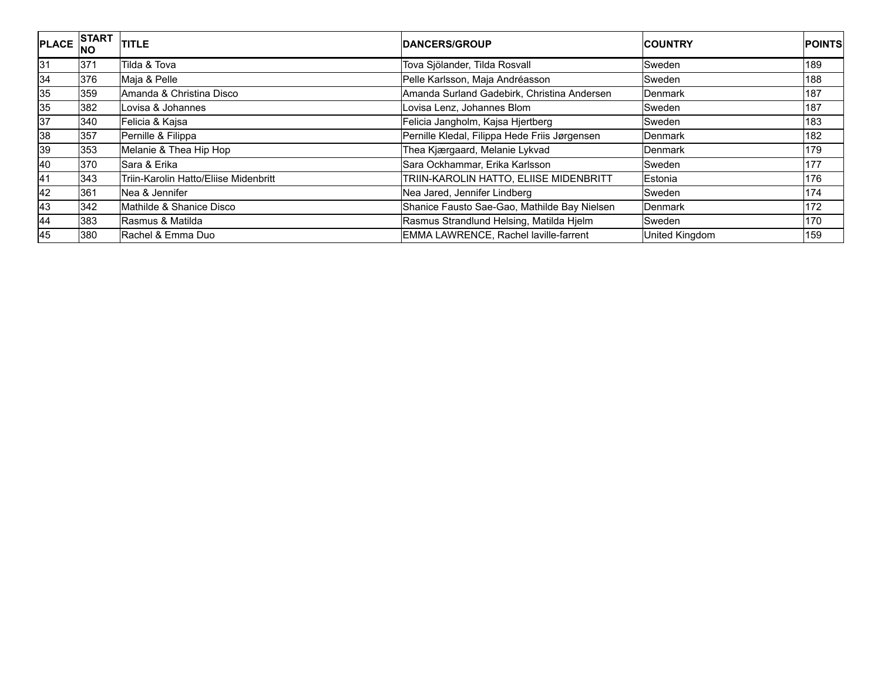| <b>PLACE</b> | <b>START</b><br><b>INO</b> | <b>TITLE</b>                          | <b>IDANCERS/GROUP</b>                         | <b>ICOUNTRY</b> | <b>POINTS</b> |
|--------------|----------------------------|---------------------------------------|-----------------------------------------------|-----------------|---------------|
| 31           | 371                        | Tilda & Tova                          | Tova Sjölander, Tilda Rosvall                 | <b>Sweden</b>   | 189           |
| 34           | 376                        | Maja & Pelle                          | Pelle Karlsson, Maja Andréasson               | Sweden          | 188           |
| 35           | 359                        | Amanda & Christina Disco              | Amanda Surland Gadebirk, Christina Andersen   | <b>Denmark</b>  | 187           |
| 35           | 382                        | Lovisa & Johannes                     | Lovisa Lenz, Johannes Blom                    | Sweden          | 187           |
| 37           | 340                        | Felicia & Kajsa                       | Felicia Jangholm, Kajsa Hjertberg             | Sweden          | 183           |
| 38           | 357                        | Pernille & Filippa                    | Pernille Kledal, Filippa Hede Friis Jørgensen | Denmark         | 182           |
| 39           | 353                        | Melanie & Thea Hip Hop                | Thea Kjærgaard, Melanie Lykvad                | Denmark         | 179           |
| 40           | 370                        | Sara & Erika                          | Sara Ockhammar, Erika Karlsson                | Sweden          | 177           |
| 41           | 343                        | Triin-Karolin Hatto/Eliise Midenbritt | TRIIN-KAROLIN HATTO, ELIISE MIDENBRITT        | Estonia         | 176           |
| 42           | 361                        | Nea & Jennifer                        | Nea Jared, Jennifer Lindberg                  | Sweden          | 174           |
| 43           | 342                        | Mathilde & Shanice Disco              | Shanice Fausto Sae-Gao, Mathilde Bay Nielsen  | Denmark         | 172           |
| 44           | 383                        | Rasmus & Matilda                      | Rasmus Strandlund Helsing, Matilda Hjelm      | Sweden          | 170           |
| 45           | 380                        | Rachel & Emma Duo                     | EMMA LAWRENCE, Rachel laville-farrent         | United Kingdom  | 159           |